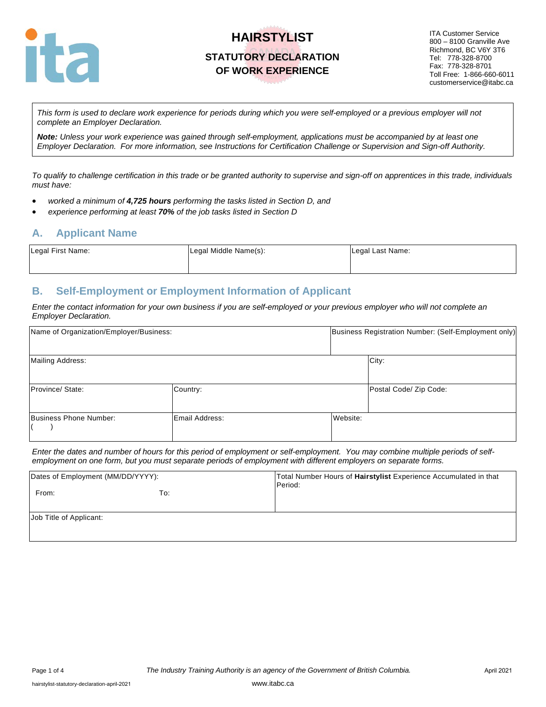

ITA Customer Service 800 – 8100 Granville Ave Richmond, BC V6Y 3T6 Tel: 778-328-8700 Fax: 778-328-8701 Toll Free: 1-866-660-6011 customerservice@itabc.ca

*This form is used to declare work experience for periods during which you were self-employed or a previous employer will not complete an Employer Declaration.* 

*Note: Unless your work experience was gained through self-employment, applications must be accompanied by at least one Employer Declaration. For more information, see Instructions for Certification Challenge or Supervision and Sign-off Authority.* 

*To qualify to challenge certification in this trade or be granted authority to supervise and sign-off on apprentices in this trade, individuals must have:*

- *worked a minimum of 4,725 hours performing the tasks listed in Section D, and*
- *experience performing at least 70% of the job tasks listed in Section D*

### **A. Applicant Name**

| Legal First Name: | Legal Middle Name(s): | Legal Last Name: |
|-------------------|-----------------------|------------------|
|                   |                       |                  |

## **B. Self-Employment or Employment Information of Applicant**

*Enter the contact information for your own business if you are self-employed or your previous employer who will not complete an Employer Declaration.* 

| Name of Organization/Employer/Business: |                | Business Registration Number: (Self-Employment only) |
|-----------------------------------------|----------------|------------------------------------------------------|
| <b>Mailing Address:</b>                 |                | City:                                                |
| Province/ State:                        | Country:       | Postal Code/ Zip Code:                               |
| Business Phone Number:                  | Email Address: | Website:                                             |

*Enter the dates and number of hours for this period of employment or self-employment. You may combine multiple periods of selfemployment on one form, but you must separate periods of employment with different employers on separate forms.*

| Dates of Employment (MM/DD/YYYY): |     | Total Number Hours of Hairstylist Experience Accumulated in that<br>Period: |
|-----------------------------------|-----|-----------------------------------------------------------------------------|
| From:                             | To: |                                                                             |
| Job Title of Applicant:           |     |                                                                             |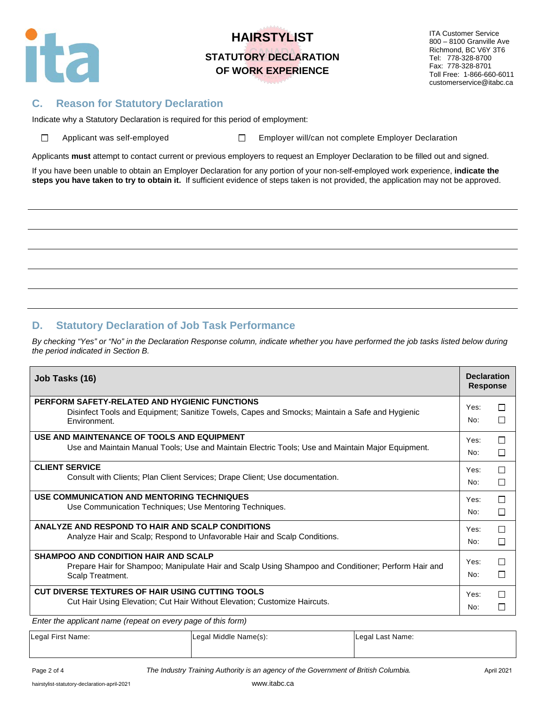

ITA Customer Service 800 – 8100 Granville Ave Richmond, BC V6Y 3T6 Tel: 778-328-8700 Fax: 778-328-8701 Toll Free: 1-866-660-6011 customerservice@itabc.ca

## **C. Reason for Statutory Declaration**

Indicate why a Statutory Declaration is required for this period of employment:

 $\Box$ 

Applicant was self-employed  $\square$  Employer will/can not complete Employer Declaration

Applicants **must** attempt to contact current or previous employers to request an Employer Declaration to be filled out and signed.

If you have been unable to obtain an Employer Declaration for any portion of your non-self-employed work experience, **indicate the steps you have taken to try to obtain it.** If sufficient evidence of steps taken is not provided, the application may not be approved.

## **D. Statutory Declaration of Job Task Performance**

By checking "Yes" or "No" in the Declaration Response column, indicate whether you have performed the job tasks listed below during *the period indicated in Section B.* 

| Job Tasks (16)                                                                                                                                                         | <b>Declaration</b><br><b>Response</b> |                   |
|------------------------------------------------------------------------------------------------------------------------------------------------------------------------|---------------------------------------|-------------------|
| PERFORM SAFETY-RELATED AND HYGIENIC FUNCTIONS<br>Disinfect Tools and Equipment; Sanitize Towels, Capes and Smocks; Maintain a Safe and Hygienic<br>Environment.        | Yes:<br>No:                           | $\mathbf{L}$<br>П |
| USE AND MAINTENANCE OF TOOLS AND EQUIPMENT                                                                                                                             | Yes:                                  | $\Box$            |
| Use and Maintain Manual Tools; Use and Maintain Electric Tools; Use and Maintain Major Equipment.                                                                      | No:                                   | П                 |
| <b>CLIENT SERVICE</b>                                                                                                                                                  | Yes:                                  | □                 |
| Consult with Clients; Plan Client Services; Drape Client; Use documentation.                                                                                           | No:                                   | $\Box$            |
| USE COMMUNICATION AND MENTORING TECHNIQUES                                                                                                                             | Yes:                                  | П                 |
| Use Communication Techniques; Use Mentoring Techniques.                                                                                                                | No:                                   | П                 |
| ANALYZE AND RESPOND TO HAIR AND SCALP CONDITIONS                                                                                                                       | Yes:                                  | $\Box$            |
| Analyze Hair and Scalp; Respond to Unfavorable Hair and Scalp Conditions.                                                                                              | No:                                   | П                 |
| <b>SHAMPOO AND CONDITION HAIR AND SCALP</b><br>Prepare Hair for Shampoo; Manipulate Hair and Scalp Using Shampoo and Conditioner; Perform Hair and<br>Scalp Treatment. | Yes:<br>No:                           | $\Box$<br>П       |
| CUT DIVERSE TEXTURES OF HAIR USING CUTTING TOOLS<br>Cut Hair Using Elevation; Cut Hair Without Elevation; Customize Haircuts.                                          | Yes:<br>No:                           | П                 |

*Enter the applicant name (repeat on every page of this form)*

Legal First Name: Legal Middle Name(s): Legal Last Name:

Page 2 of 4 **The Industry Training Authority is an agency of the Government of British Columbia.** April 2021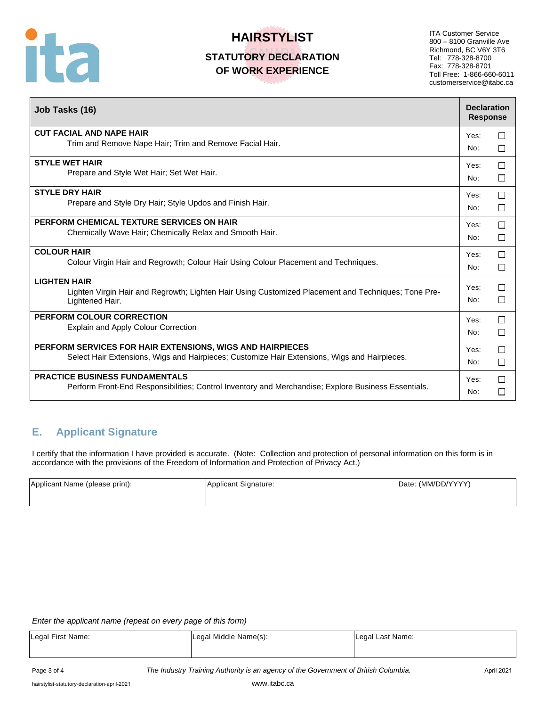

ITA Customer Service 800 – 8100 Granville Ave Richmond, BC V6Y 3T6 Tel: 778-328-8700 Fax: 778-328-8701 Toll Free: 1-866-660-6011 customerservice@itabc.ca

| Job Tasks (16)                                                                                                                                | <b>Declaration</b><br><b>Response</b> |        |
|-----------------------------------------------------------------------------------------------------------------------------------------------|---------------------------------------|--------|
| <b>CUT FACIAL AND NAPE HAIR</b>                                                                                                               | Yes:                                  | П      |
| Trim and Remove Nape Hair; Trim and Remove Facial Hair.                                                                                       | No:                                   | П      |
| <b>STYLE WET HAIR</b>                                                                                                                         | Yes:                                  | П      |
| Prepare and Style Wet Hair; Set Wet Hair.                                                                                                     | No:                                   | $\Box$ |
| <b>STYLE DRY HAIR</b>                                                                                                                         | Yes:                                  | П      |
| Prepare and Style Dry Hair; Style Updos and Finish Hair.                                                                                      | No:                                   | □      |
| PERFORM CHEMICAL TEXTURE SERVICES ON HAIR                                                                                                     | Yes:                                  | П      |
| Chemically Wave Hair; Chemically Relax and Smooth Hair.                                                                                       | No:                                   | □      |
| <b>COLOUR HAIR</b>                                                                                                                            | Yes:                                  | П      |
| Colour Virgin Hair and Regrowth; Colour Hair Using Colour Placement and Techniques.                                                           | No:                                   | □      |
| <b>LIGHTEN HAIR</b><br>Lighten Virgin Hair and Regrowth; Lighten Hair Using Customized Placement and Techniques; Tone Pre-<br>Lightened Hair. | Yes:<br>No:                           | П<br>П |
| PERFORM COLOUR CORRECTION                                                                                                                     | Yes:                                  | П      |
| Explain and Apply Colour Correction                                                                                                           | No:                                   | □      |
| <b>PERFORM SERVICES FOR HAIR EXTENSIONS, WIGS AND HAIRPIECES</b>                                                                              | Yes:                                  | $\Box$ |
| Select Hair Extensions, Wigs and Hairpieces; Customize Hair Extensions, Wigs and Hairpieces.                                                  | No:                                   | П      |
| <b>PRACTICE BUSINESS FUNDAMENTALS</b>                                                                                                         | Yes:                                  | П      |
| Perform Front-End Responsibilities; Control Inventory and Merchandise; Explore Business Essentials.                                           | No:                                   | П      |

## **E. Applicant Signature**

I certify that the information I have provided is accurate. (Note: Collection and protection of personal information on this form is in accordance with the provisions of the Freedom of Information and Protection of Privacy Act.)

| Applicant Name (please print): | Applicant Signature: | Date: (MM/DD/YYYY) |
|--------------------------------|----------------------|--------------------|
|                                |                      |                    |

#### *Enter the applicant name (repeat on every page of this form)*

| Legal First Name: | Legal Middle Name(s): | Legal Last Name: |
|-------------------|-----------------------|------------------|
|                   |                       |                  |

Page 3 of 4 **The Industry Training Authority is an agency of the Government of British Columbia.** April 2021